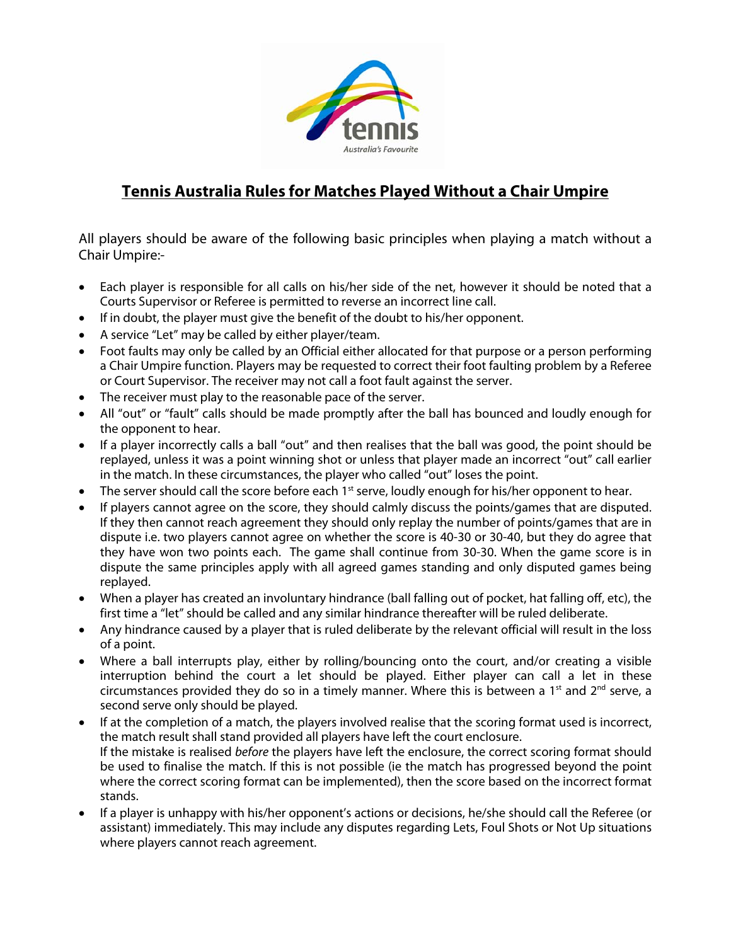

## **Tennis Australia Rules for Matches Played Without a Chair Umpire**

All players should be aware of the following basic principles when playing a match without a Chair Umpire:-

- Each player is responsible for all calls on his/her side of the net, however it should be noted that a Courts Supervisor or Referee is permitted to reverse an incorrect line call.
- If in doubt, the player must give the benefit of the doubt to his/her opponent.
- A service "Let" may be called by either player/team.
- Foot faults may only be called by an Official either allocated for that purpose or a person performing a Chair Umpire function. Players may be requested to correct their foot faulting problem by a Referee or Court Supervisor. The receiver may not call a foot fault against the server.
- The receiver must play to the reasonable pace of the server.
- All "out" or "fault" calls should be made promptly after the ball has bounced and loudly enough for the opponent to hear.
- If a player incorrectly calls a ball "out" and then realises that the ball was good, the point should be replayed, unless it was a point winning shot or unless that player made an incorrect "out" call earlier in the match. In these circumstances, the player who called "out" loses the point.
- The server should call the score before each 1<sup>st</sup> serve, loudly enough for his/her opponent to hear.
- If players cannot agree on the score, they should calmly discuss the points/games that are disputed. If they then cannot reach agreement they should only replay the number of points/games that are in dispute i.e. two players cannot agree on whether the score is 40-30 or 30-40, but they do agree that they have won two points each. The game shall continue from 30-30. When the game score is in dispute the same principles apply with all agreed games standing and only disputed games being replayed.
- When a player has created an involuntary hindrance (ball falling out of pocket, hat falling off, etc), the first time a "let" should be called and any similar hindrance thereafter will be ruled deliberate.
- Any hindrance caused by a player that is ruled deliberate by the relevant official will result in the loss of a point.
- Where a ball interrupts play, either by rolling/bouncing onto the court, and/or creating a visible interruption behind the court a let should be played. Either player can call a let in these circumstances provided they do so in a timely manner. Where this is between a 1<sup>st</sup> and  $2<sup>nd</sup>$  serve, a second serve only should be played.
- If at the completion of a match, the players involved realise that the scoring format used is incorrect, the match result shall stand provided all players have left the court enclosure. If the mistake is realised before the players have left the enclosure, the correct scoring format should be used to finalise the match. If this is not possible (ie the match has progressed beyond the point where the correct scoring format can be implemented), then the score based on the incorrect format stands.
- If a player is unhappy with his/her opponent's actions or decisions, he/she should call the Referee (or assistant) immediately. This may include any disputes regarding Lets, Foul Shots or Not Up situations where players cannot reach agreement.